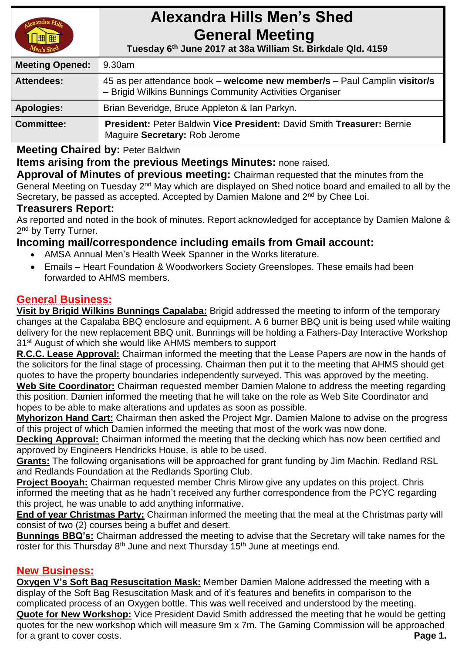

# **Alexandra Hills Men's Shed General Meeting**

 **Tuesday 6 th June 2017 at 38a William St. Birkdale Qld. 4159** 

| <b>Meeting Opened:</b> | 9.30am                                                                                                                                |  |
|------------------------|---------------------------------------------------------------------------------------------------------------------------------------|--|
| <b>Attendees:</b>      | 45 as per attendance book – welcome new member/s – Paul Camplin visitor/s<br>- Brigid Wilkins Bunnings Community Activities Organiser |  |
| <b>Apologies:</b>      | Brian Beveridge, Bruce Appleton & Ian Parkyn.                                                                                         |  |
| <b>Committee:</b>      | President: Peter Baldwin Vice President: David Smith Treasurer: Bernie<br>Maguire Secretary: Rob Jerome                               |  |

**Meeting Chaired by:** Peter Baldwin

## **Items arising from the previous Meetings Minutes:** none raised.

**Approval of Minutes of previous meeting:** Chairman requested that the minutes from the General Meeting on Tuesday 2<sup>nd</sup> May which are displayed on Shed notice board and emailed to all by the Secretary, be passed as accepted. Accepted by Damien Malone and 2<sup>nd</sup> by Chee Loi.

## **Treasurers Report:**

As reported and noted in the book of minutes. Report acknowledged for acceptance by Damien Malone & 2<sup>nd</sup> by Terry Turner.

## **Incoming mail/correspondence including emails from Gmail account:**

- AMSA Annual Men's Health Week Spanner in the Works literature.
- Emails Heart Foundation & Woodworkers Society Greenslopes. These emails had been forwarded to AHMS members.

## **General Business:**

**Visit by Brigid Wilkins Bunnings Capalaba:** Brigid addressed the meeting to inform of the temporary changes at the Capalaba BBQ enclosure and equipment. A 6 burner BBQ unit is being used while waiting delivery for the new replacement BBQ unit. Bunnings will be holding a Fathers-Day Interactive Workshop 31<sup>st</sup> August of which she would like AHMS members to support

**R.C.C. Lease Approval:** Chairman informed the meeting that the Lease Papers are now in the hands of the solicitors for the final stage of processing. Chairman then put it to the meeting that AHMS should get quotes to have the property boundaries independently surveyed. This was approved by the meeting.

**Web Site Coordinator:** Chairman requested member Damien Malone to address the meeting regarding this position. Damien informed the meeting that he will take on the role as Web Site Coordinator and hopes to be able to make alterations and updates as soon as possible.

**Myhorizon Hand Cart:** Chairman then asked the Project Mgr. Damien Malone to advise on the progress of this project of which Damien informed the meeting that most of the work was now done.

**Decking Approval:** Chairman informed the meeting that the decking which has now been certified and approved by Engineers Hendricks House, is able to be used.

**Grants:** The following organisations will be approached for grant funding by Jim Machin. Redland RSL and Redlands Foundation at the Redlands Sporting Club.

**Project Booyah:** Chairman requested member Chris Mirow give any updates on this project. Chris informed the meeting that as he hadn't received any further correspondence from the PCYC regarding this project, he was unable to add anything informative.

**End of year Christmas Party:** Chairman informed the meeting that the meal at the Christmas party will consist of two (2) courses being a buffet and desert.

**Bunnings BBQ's:** Chairman addressed the meeting to advise that the Secretary will take names for the roster for this Thursday 8<sup>th</sup> June and next Thursday 15<sup>th</sup> June at meetings end.

## **New Business:**

**Oxygen V's Soft Bag Resuscitation Mask:** Member Damien Malone addressed the meeting with a display of the Soft Bag Resuscitation Mask and of it's features and benefits in comparison to the complicated process of an Oxygen bottle. This was well received and understood by the meeting. **Quote for New Workshop:** Vice President David Smith addressed the meeting that he would be getting quotes for the new workshop which will measure 9m x 7m. The Gaming Commission will be approached for a grant to cover costs. **Page 1.**